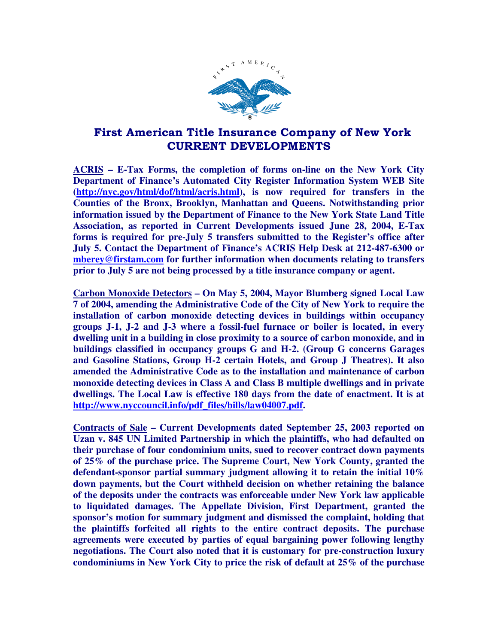

## First American Title Insurance Company of New York CURRENT DEVELOPMENTS

**ACRIS – E-Tax Forms, the completion of forms on-line on the New York City Department of Finance's Automated City Register Information System WEB Site (http://nyc.gov/html/dof/html/acris.html), is now required for transfers in the Counties of the Bronx, Brooklyn, Manhattan and Queens. Notwithstanding prior information issued by the Department of Finance to the New York State Land Title Association, as reported in Current Developments issued June 28, 2004, E-Tax forms is required for pre-July 5 transfers submitted to the Register's office after July 5. Contact the Department of Finance's ACRIS Help Desk at 212-487-6300 or mberey@firstam.com for further information when documents relating to transfers prior to July 5 are not being processed by a title insurance company or agent.** 

**Carbon Monoxide Detectors – On May 5, 2004, Mayor Blumberg signed Local Law 7 of 2004, amending the Administrative Code of the City of New York to require the installation of carbon monoxide detecting devices in buildings within occupancy groups J-1, J-2 and J-3 where a fossil-fuel furnace or boiler is located, in every dwelling unit in a building in close proximity to a source of carbon monoxide, and in buildings classified in occupancy groups G and H-2. (Group G concerns Garages and Gasoline Stations, Group H-2 certain Hotels, and Group J Theatres). It also amended the Administrative Code as to the installation and maintenance of carbon monoxide detecting devices in Class A and Class B multiple dwellings and in private dwellings. The Local Law is effective 180 days from the date of enactment. It is at http://www.nyccouncil.info/pdf\_files/bills/law04007.pdf.** 

**Contracts of Sale – Current Developments dated September 25, 2003 reported on Uzan v. 845 UN Limited Partnership in which the plaintiffs, who had defaulted on their purchase of four condominium units, sued to recover contract down payments of 25% of the purchase price. The Supreme Court, New York County, granted the defendant-sponsor partial summary judgment allowing it to retain the initial 10% down payments, but the Court withheld decision on whether retaining the balance of the deposits under the contracts was enforceable under New York law applicable to liquidated damages. The Appellate Division, First Department, granted the sponsor's motion for summary judgment and dismissed the complaint, holding that the plaintiffs forfeited all rights to the entire contract deposits. The purchase agreements were executed by parties of equal bargaining power following lengthy negotiations. The Court also noted that it is customary for pre-construction luxury condominiums in New York City to price the risk of default at 25% of the purchase**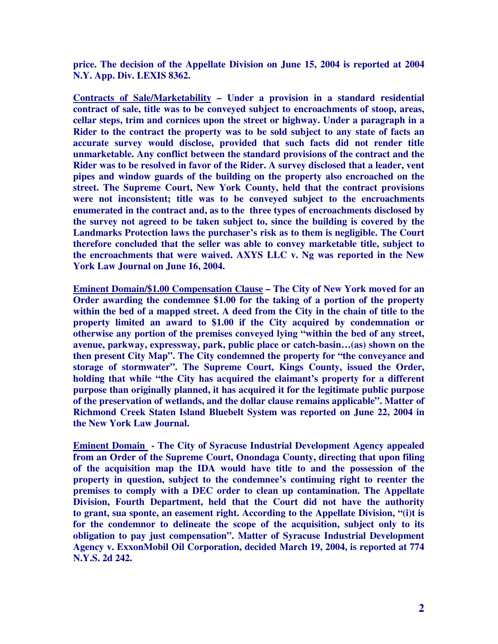**price. The decision of the Appellate Division on June 15, 2004 is reported at 2004 N.Y. App. Div. LEXIS 8362.** 

**Contracts of Sale/Marketability – Under a provision in a standard residential contract of sale, title was to be conveyed subject to encroachments of stoop, areas, cellar steps, trim and cornices upon the street or highway. Under a paragraph in a Rider to the contract the property was to be sold subject to any state of facts an accurate survey would disclose, provided that such facts did not render title unmarketable. Any conflict between the standard provisions of the contract and the Rider was to be resolved in favor of the Rider. A survey disclosed that a leader, vent pipes and window guards of the building on the property also encroached on the street. The Supreme Court, New York County, held that the contract provisions were not inconsistent; title was to be conveyed subject to the encroachments enumerated in the contract and, as to the three types of encroachments disclosed by the survey not agreed to be taken subject to, since the building is covered by the Landmarks Protection laws the purchaser's risk as to them is negligible. The Court therefore concluded that the seller was able to convey marketable title, subject to the encroachments that were waived. AXYS LLC v. Ng was reported in the New York Law Journal on June 16, 2004.** 

**Eminent Domain/\$1.00 Compensation Clause – The City of New York moved for an Order awarding the condemnee \$1.00 for the taking of a portion of the property within the bed of a mapped street. A deed from the City in the chain of title to the property limited an award to \$1.00 if the City acquired by condemnation or otherwise any portion of the premises conveyed lying "within the bed of any street, avenue, parkway, expressway, park, public place or catch-basin…(as) shown on the then present City Map". The City condemned the property for "the conveyance and storage of stormwater". The Supreme Court, Kings County, issued the Order, holding that while "the City has acquired the claimant's property for a different purpose than originally planned, it has acquired it for the legitimate public purpose of the preservation of wetlands, and the dollar clause remains applicable". Matter of Richmond Creek Staten Island Bluebelt System was reported on June 22, 2004 in the New York Law Journal.** 

**Eminent Domain - The City of Syracuse Industrial Development Agency appealed from an Order of the Supreme Court, Onondaga County, directing that upon filing of the acquisition map the IDA would have title to and the possession of the property in question, subject to the condemnee's continuing right to reenter the premises to comply with a DEC order to clean up contamination. The Appellate Division, Fourth Department, held that the Court did not have the authority to grant, sua sponte, an easement right. According to the Appellate Division, "(i)t is for the condemnor to delineate the scope of the acquisition, subject only to its obligation to pay just compensation". Matter of Syracuse Industrial Development Agency v. ExxonMobil Oil Corporation, decided March 19, 2004, is reported at 774 N.Y.S. 2d 242.**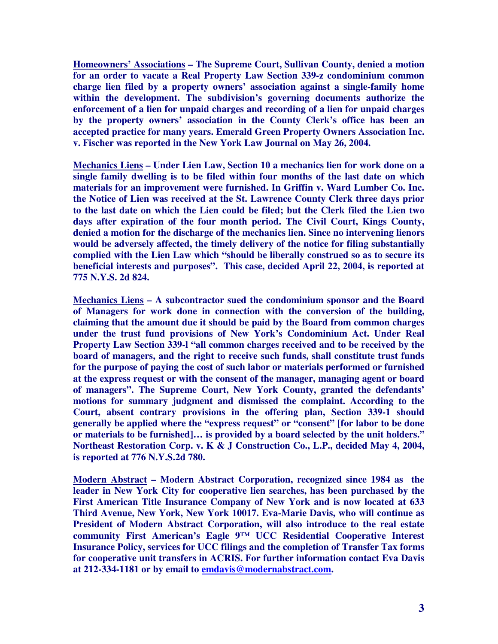**Homeowners' Associations – The Supreme Court, Sullivan County, denied a motion for an order to vacate a Real Property Law Section 339-z condominium common charge lien filed by a property owners' association against a single-family home within the development. The subdivision's governing documents authorize the enforcement of a lien for unpaid charges and recording of a lien for unpaid charges by the property owners' association in the County Clerk's office has been an accepted practice for many years. Emerald Green Property Owners Association Inc. v. Fischer was reported in the New York Law Journal on May 26, 2004.** 

**Mechanics Liens – Under Lien Law, Section 10 a mechanics lien for work done on a single family dwelling is to be filed within four months of the last date on which materials for an improvement were furnished. In Griffin v. Ward Lumber Co. Inc. the Notice of Lien was received at the St. Lawrence County Clerk three days prior to the last date on which the Lien could be filed; but the Clerk filed the Lien two days after expiration of the four month period. The Civil Court, Kings County, denied a motion for the discharge of the mechanics lien. Since no intervening lienors would be adversely affected, the timely delivery of the notice for filing substantially complied with the Lien Law which "should be liberally construed so as to secure its beneficial interests and purposes". This case, decided April 22, 2004, is reported at 775 N.Y.S. 2d 824.** 

**Mechanics Liens – A subcontractor sued the condominium sponsor and the Board of Managers for work done in connection with the conversion of the building, claiming that the amount due it should be paid by the Board from common charges under the trust fund provisions of New York's Condominium Act. Under Real Property Law Section 339-l "all common charges received and to be received by the board of managers, and the right to receive such funds, shall constitute trust funds for the purpose of paying the cost of such labor or materials performed or furnished at the express request or with the consent of the manager, managing agent or board of managers". The Supreme Court, New York County, granted the defendants' motions for summary judgment and dismissed the complaint. According to the Court, absent contrary provisions in the offering plan, Section 339-1 should generally be applied where the "express request" or "consent" [for labor to be done or materials to be furnished]… is provided by a board selected by the unit holders." Northeast Restoration Corp. v. K & J Construction Co., L.P., decided May 4, 2004, is reported at 776 N.Y.S.2d 780.** 

**Modern Abstract – Modern Abstract Corporation, recognized since 1984 as the leader in New York City for cooperative lien searches, has been purchased by the First American Title Insurance Company of New York and is now located at 633 Third Avenue, New York, New York 10017. Eva-Marie Davis, who will continue as President of Modern Abstract Corporation, will also introduce to the real estate community First American's Eagle 9™ UCC Residential Cooperative Interest Insurance Policy, services for UCC filings and the completion of Transfer Tax forms for cooperative unit transfers in ACRIS. For further information contact Eva Davis at 212-334-1181 or by email to emdavis@modernabstract.com.**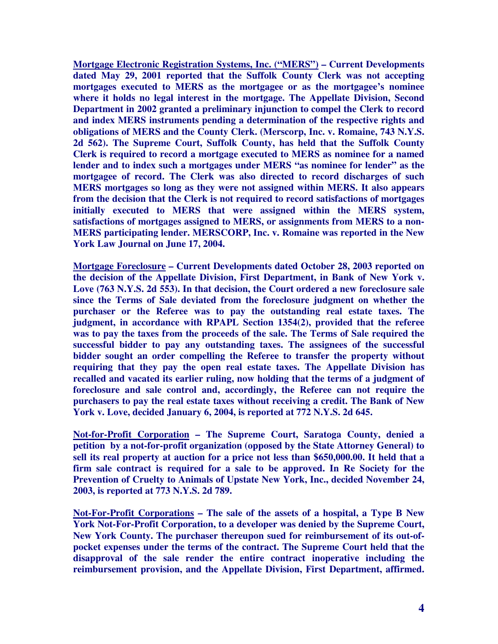**Mortgage Electronic Registration Systems, Inc. ("MERS") – Current Developments dated May 29, 2001 reported that the Suffolk County Clerk was not accepting mortgages executed to MERS as the mortgagee or as the mortgagee's nominee where it holds no legal interest in the mortgage. The Appellate Division, Second Department in 2002 granted a preliminary injunction to compel the Clerk to record and index MERS instruments pending a determination of the respective rights and obligations of MERS and the County Clerk. (Merscorp, Inc. v. Romaine, 743 N.Y.S. 2d 562). The Supreme Court, Suffolk County, has held that the Suffolk County Clerk is required to record a mortgage executed to MERS as nominee for a named lender and to index such a mortgages under MERS "as nominee for lender" as the mortgagee of record. The Clerk was also directed to record discharges of such MERS mortgages so long as they were not assigned within MERS. It also appears from the decision that the Clerk is not required to record satisfactions of mortgages initially executed to MERS that were assigned within the MERS system, satisfactions of mortgages assigned to MERS, or assignments from MERS to a non-MERS participating lender. MERSCORP, Inc. v. Romaine was reported in the New York Law Journal on June 17, 2004.** 

**Mortgage Foreclosure – Current Developments dated October 28, 2003 reported on the decision of the Appellate Division, First Department, in Bank of New York v. Love (763 N.Y.S. 2d 553). In that decision, the Court ordered a new foreclosure sale since the Terms of Sale deviated from the foreclosure judgment on whether the purchaser or the Referee was to pay the outstanding real estate taxes. The judgment, in accordance with RPAPL Section 1354(2), provided that the referee was to pay the taxes from the proceeds of the sale. The Terms of Sale required the successful bidder to pay any outstanding taxes. The assignees of the successful bidder sought an order compelling the Referee to transfer the property without requiring that they pay the open real estate taxes. The Appellate Division has recalled and vacated its earlier ruling, now holding that the terms of a judgment of foreclosure and sale control and, accordingly, the Referee can not require the purchasers to pay the real estate taxes without receiving a credit. The Bank of New York v. Love, decided January 6, 2004, is reported at 772 N.Y.S. 2d 645.** 

**Not-for-Profit Corporation – The Supreme Court, Saratoga County, denied a petition by a not-for-profit organization (opposed by the State Attorney General) to sell its real property at auction for a price not less than \$650,000.00. It held that a firm sale contract is required for a sale to be approved. In Re Society for the Prevention of Cruelty to Animals of Upstate New York, Inc., decided November 24, 2003, is reported at 773 N.Y.S. 2d 789.** 

**Not-For-Profit Corporations – The sale of the assets of a hospital, a Type B New York Not-For-Profit Corporation, to a developer was denied by the Supreme Court, New York County. The purchaser thereupon sued for reimbursement of its out-ofpocket expenses under the terms of the contract. The Supreme Court held that the disapproval of the sale render the entire contract inoperative including the reimbursement provision, and the Appellate Division, First Department, affirmed.**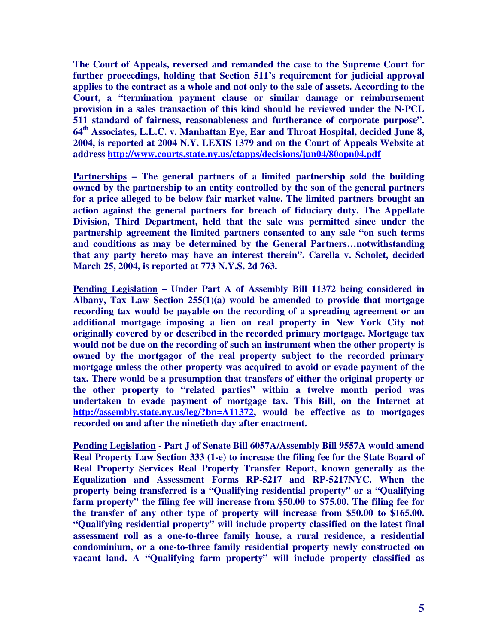**The Court of Appeals, reversed and remanded the case to the Supreme Court for further proceedings, holding that Section 511's requirement for judicial approval applies to the contract as a whole and not only to the sale of assets. According to the Court, a "termination payment clause or similar damage or reimbursement provision in a sales transaction of this kind should be reviewed under the N-PCL 511 standard of fairness, reasonableness and furtherance of corporate purpose". 64th Associates, L.L.C. v. Manhattan Eye, Ear and Throat Hospital, decided June 8, 2004, is reported at 2004 N.Y. LEXIS 1379 and on the Court of Appeals Website at address http://www.courts.state.ny.us/ctapps/decisions/jun04/80opn04.pdf** 

**Partnerships – The general partners of a limited partnership sold the building owned by the partnership to an entity controlled by the son of the general partners for a price alleged to be below fair market value. The limited partners brought an action against the general partners for breach of fiduciary duty. The Appellate Division, Third Department, held that the sale was permitted since under the partnership agreement the limited partners consented to any sale "on such terms and conditions as may be determined by the General Partners…notwithstanding that any party hereto may have an interest therein". Carella v. Scholet, decided March 25, 2004, is reported at 773 N.Y.S. 2d 763.** 

**Pending Legislation – Under Part A of Assembly Bill 11372 being considered in Albany, Tax Law Section 255(1)(a) would be amended to provide that mortgage recording tax would be payable on the recording of a spreading agreement or an additional mortgage imposing a lien on real property in New York City not originally covered by or described in the recorded primary mortgage. Mortgage tax would not be due on the recording of such an instrument when the other property is owned by the mortgagor of the real property subject to the recorded primary mortgage unless the other property was acquired to avoid or evade payment of the tax. There would be a presumption that transfers of either the original property or the other property to "related parties" within a twelve month period was undertaken to evade payment of mortgage tax. This Bill, on the Internet at http://assembly.state.ny.us/leg/?bn=A11372, would be effective as to mortgages recorded on and after the ninetieth day after enactment.** 

**Pending Legislation - Part J of Senate Bill 6057A/Assembly Bill 9557A would amend Real Property Law Section 333 (1-e) to increase the filing fee for the State Board of Real Property Services Real Property Transfer Report, known generally as the Equalization and Assessment Forms RP-5217 and RP-5217NYC. When the property being transferred is a "Qualifying residential property" or a "Qualifying farm property" the filing fee will increase from \$50.00 to \$75.00. The filing fee for the transfer of any other type of property will increase from \$50.00 to \$165.00. "Qualifying residential property" will include property classified on the latest final assessment roll as a one-to-three family house, a rural residence, a residential condominium, or a one-to-three family residential property newly constructed on vacant land. A "Qualifying farm property" will include property classified as**